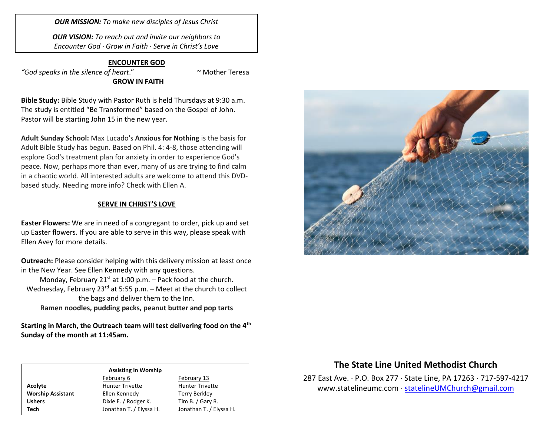*OUR MISSION: To make new disciples of Jesus Christ*

*OUR VISION: To reach out and invite our neighbors to Encounter God · Grow in Faith · Serve in Christ's Love*

#### **ENCOUNTER GOD**

*"God speaks in the silence of heart*." ~ Mother Teresa **GROW IN FAITH**

**Bible Study:** Bible Study with Pastor Ruth is held Thursdays at 9:30 a.m. The study is entitled "Be Transformed" based on the Gospel of John. Pastor will be starting John 15 in the new year.

**Adult Sunday School:** Max Lucado's **Anxious for Nothing** is the basis for Adult Bible Study has begun. Based on Phil. 4: 4-8, those attending will explore God's treatment plan for anxiety in order to experience God's peace. Now, perhaps more than ever, many of us are trying to find calm in a chaotic world. All interested adults are welcome to attend this DVDbased study. Needing more info? Check with Ellen A.

### **SERVE IN CHRIST'S LOVE**

**Easter Flowers:** We are in need of a congregant to order, pick up and set up Easter flowers. If you are able to serve in this way, please speak with Ellen Avey for more details.

**Outreach:** Please consider helping with this delivery mission at least once in the New Year. See Ellen Kennedy with any questions.

Monday, February 21 $st$  at 1:00 p.m. – Pack food at the church. Wednesday, February 23<sup>rd</sup> at 5:55 p.m. – Meet at the church to collect the bags and deliver them to the Inn.

**Ramen noodles, pudding packs, peanut butter and pop tarts**

**Starting in March, the Outreach team will test delivering food on the 4th Sunday of the month at 11:45am.** 

## **Assisting in Worship**

February 6 February 13 Acolyte **Acolyte** Hunter Trivette **Hunter Trivette Worship Assistant** Ellen Kennedy Terry Berkley Ushers **Dixie E.** / Rodger K. Tim B. / Gary R. **Tech** Jonathan T. / Elyssa H. Jonathan T. / Elyssa H.



## **The State Line United Methodist Church**

287 East Ave. · P.O. Box 277 · State Line, PA 17263 · 717-597-4217 [www.statelineumc.com](http://www.statelineumc.com/) · [statelineUMChurch@gmail.com](mailto:statelineUMChurch@gmail.com)